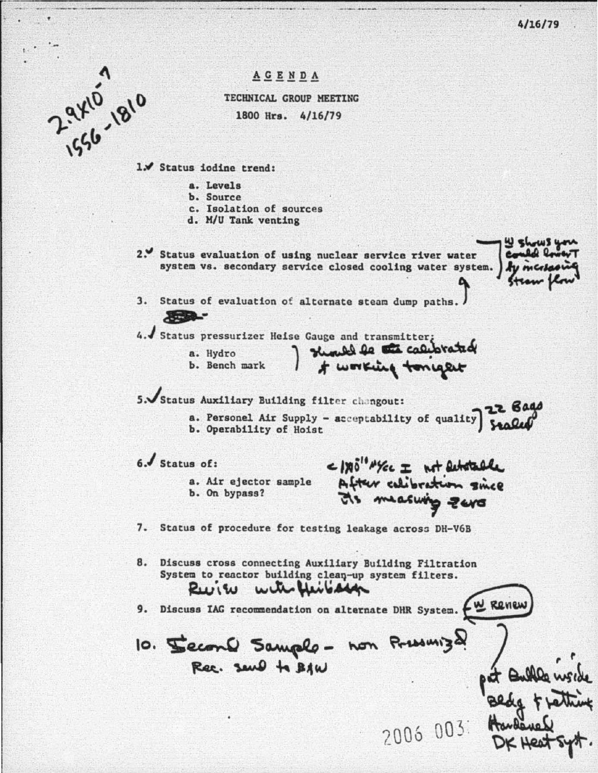$4/16/79$ 

4 shows y



AGENDA

TECHNICAL GROUP MEETING 1800 Hrs. 4/16/79

1. Status iodine trend:

- a. Levels
- b. Source
- c. Isolation of sources
- d. M/U Tank venting

2. Status evaluation of using nuclear service river water Could system vs. secondary service closed cooling water system. I by me

3. Status of evaluation of alternate steam dump paths.

4. Status pressurizer Heise Gauge and transmitter;

a. Hydro b. Bench mark

I should be the calibrated

5. Status Auxiliary Building filter changout:

**22 Bags** a. Personel Air Supply - acceptability of quality | Stales b. Operability of Hoist

6. Status of:

 $89 -$ 

a. Air ejector sample b. On bypass?

<1x0" MYEL I not substable After calibration since Ms measuring zero

7. Status of procedure for testing leakage across DH-V6B

8. Discuss cross connecting Auxiliary Building Filtration System to reactor building clean-up system filters. with Heibage Ruin

9. Discuss IAG recommendation on alternate DHR System.  $\left\{\omega\right\}$  Revew

10. Second Sample - non Pressuriza Rec. send to BAW

2006 003: Haven